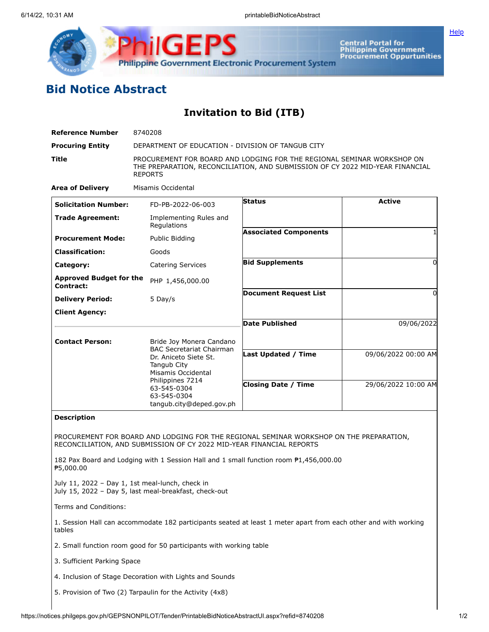

**Central Portal for<br>Philippine Government<br>Procurement Oppurtunities** 

## **Bid Notice Abstract**

**Invitation to Bid (ITB)**

| <b>Reference Number</b>                         | 8740208                                                              |                                                                                                                                                         |                     |
|-------------------------------------------------|----------------------------------------------------------------------|---------------------------------------------------------------------------------------------------------------------------------------------------------|---------------------|
| <b>Procuring Entity</b>                         | DEPARTMENT OF EDUCATION - DIVISION OF TANGUB CITY                    |                                                                                                                                                         |                     |
| Title                                           | <b>REPORTS</b>                                                       | PROCUREMENT FOR BOARD AND LODGING FOR THE REGIONAL SEMINAR WORKSHOP ON<br>THE PREPARATION, RECONCILIATION, AND SUBMISSION OF CY 2022 MID-YEAR FINANCIAL |                     |
| <b>Area of Delivery</b>                         | Misamis Occidental                                                   |                                                                                                                                                         |                     |
| <b>Solicitation Number:</b>                     | FD-PB-2022-06-003                                                    | <b>Status</b>                                                                                                                                           | <b>Active</b>       |
| <b>Trade Agreement:</b>                         | Implementing Rules and<br>Regulations                                |                                                                                                                                                         |                     |
| <b>Procurement Mode:</b>                        | Public Bidding                                                       | <b>Associated Components</b>                                                                                                                            |                     |
| <b>Classification:</b>                          | Goods                                                                |                                                                                                                                                         |                     |
| Category:                                       | <b>Catering Services</b>                                             | <b>Bid Supplements</b>                                                                                                                                  | 0                   |
| <b>Approved Budget for the</b><br>Contract:     | PHP 1,456,000.00                                                     |                                                                                                                                                         |                     |
| <b>Delivery Period:</b>                         | 5 Day/s                                                              | <b>Document Request List</b>                                                                                                                            | 0                   |
| <b>Client Agency:</b>                           |                                                                      |                                                                                                                                                         |                     |
|                                                 |                                                                      | Date Published                                                                                                                                          | 09/06/2022          |
| <b>Contact Person:</b>                          | Bride Joy Monera Candano                                             |                                                                                                                                                         |                     |
|                                                 | <b>BAC Secretariat Chairman</b><br>Dr. Aniceto Siete St.             | Last Updated / Time                                                                                                                                     | 09/06/2022 00:00 AM |
|                                                 | Tangub City                                                          |                                                                                                                                                         |                     |
|                                                 | Misamis Occidental<br>Philippines 7214                               |                                                                                                                                                         |                     |
|                                                 | 63-545-0304<br>63-545-0304                                           | <b>Closing Date / Time</b>                                                                                                                              | 29/06/2022 10:00 AM |
|                                                 | tangub.city@deped.gov.ph                                             |                                                                                                                                                         |                     |
| <b>Description</b>                              |                                                                      |                                                                                                                                                         |                     |
|                                                 |                                                                      | PROCUREMENT FOR BOARD AND LODGING FOR THE REGIONAL SEMINAR WORKSHOP ON THE PREPARATION,                                                                 |                     |
|                                                 | RECONCILIATION, AND SUBMISSION OF CY 2022 MID-YEAR FINANCIAL REPORTS |                                                                                                                                                         |                     |
| ₱5,000.00                                       |                                                                      | 182 Pax Board and Lodging with 1 Session Hall and 1 small function room $P1,456,000.00$                                                                 |                     |
| July 11, 2022 - Day 1, 1st meal-lunch, check in | July 15, 2022 - Day 5, last meal-breakfast, check-out                |                                                                                                                                                         |                     |
| Terms and Conditions:                           |                                                                      |                                                                                                                                                         |                     |
| tables                                          |                                                                      | 1. Session Hall can accommodate 182 participants seated at least 1 meter apart from each other and with working                                         |                     |
|                                                 | 2. Small function room good for 50 participants with working table   |                                                                                                                                                         |                     |
| 3. Sufficient Parking Space                     |                                                                      |                                                                                                                                                         |                     |
|                                                 | 4. Inclusion of Stage Decoration with Lights and Sounds              |                                                                                                                                                         |                     |
|                                                 | 5. Provision of Two (2) Tarpaulin for the Activity (4x8)             |                                                                                                                                                         |                     |